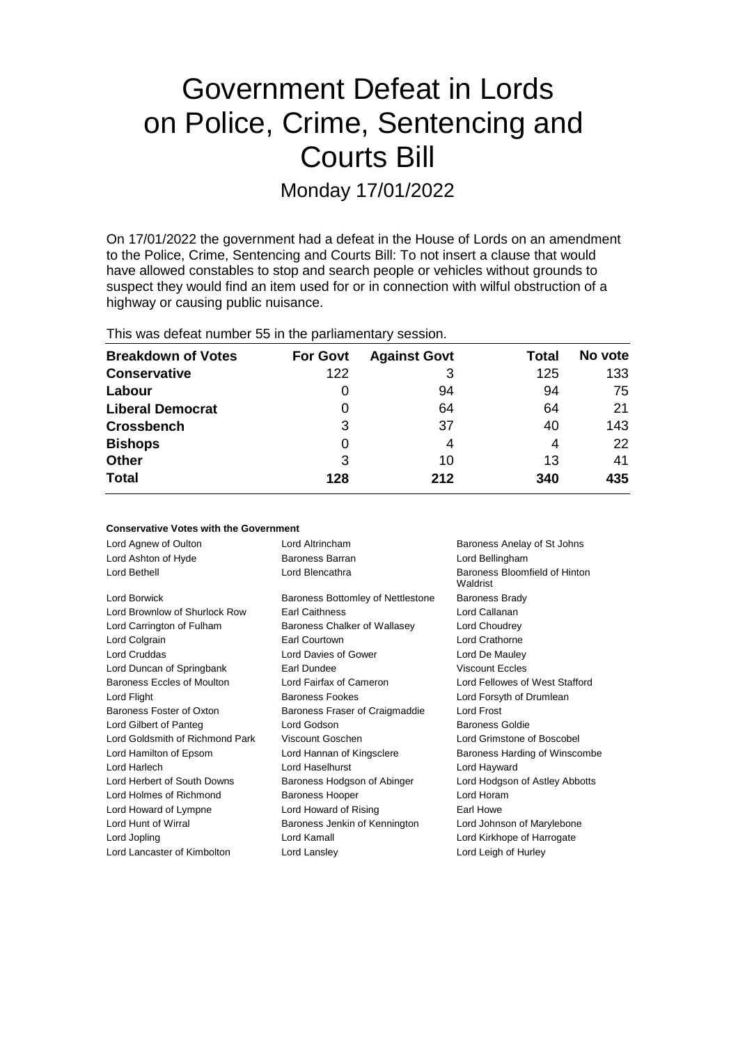# Government Defeat in Lords on Police, Crime, Sentencing and Courts Bill

Monday 17/01/2022

On 17/01/2022 the government had a defeat in the House of Lords on an amendment to the Police, Crime, Sentencing and Courts Bill: To not insert a clause that would have allowed constables to stop and search people or vehicles without grounds to suspect they would find an item used for or in connection with wilful obstruction of a highway or causing public nuisance.

This was defeat number 55 in the parliamentary session.

| <b>Breakdown of Votes</b> | <b>For Govt</b> | <b>Against Govt</b> | Total | No vote |
|---------------------------|-----------------|---------------------|-------|---------|
| <b>Conservative</b>       | 122             | 3                   | 125   | 133     |
| Labour                    | 0               | 94                  | 94    | 75      |
| <b>Liberal Democrat</b>   | 0               | 64                  | 64    | 21      |
| <b>Crossbench</b>         | 3               | 37                  | 40    | 143     |
| <b>Bishops</b>            | 0               | 4                   | 4     | 22      |
| <b>Other</b>              | 3               | 10                  | 13    | 41      |
| <b>Total</b>              | 128             | 212                 | 340   | 435     |

#### **Conservative Votes with the Government**

| Lord Agnew of Oulton            | Lord Altrincham                   | Baroness Anelay of St Johns               |
|---------------------------------|-----------------------------------|-------------------------------------------|
| Lord Ashton of Hyde             | Baroness Barran                   | Lord Bellingham                           |
| Lord Bethell                    | Lord Blencathra                   | Baroness Bloomfield of Hinton<br>Waldrist |
| Lord Borwick                    | Baroness Bottomley of Nettlestone | Baroness Brady                            |
| Lord Brownlow of Shurlock Row   | <b>Earl Caithness</b>             | Lord Callanan                             |
| Lord Carrington of Fulham       | Baroness Chalker of Wallasey      | Lord Choudrey                             |
| Lord Colgrain                   | Earl Courtown                     | Lord Crathorne                            |
| <b>Lord Cruddas</b>             | Lord Davies of Gower              | Lord De Mauley                            |
| Lord Duncan of Springbank       | Earl Dundee                       | <b>Viscount Eccles</b>                    |
| Baroness Eccles of Moulton      | Lord Fairfax of Cameron           | Lord Fellowes of West Stafford            |
| Lord Flight                     | <b>Baroness Fookes</b>            | Lord Forsyth of Drumlean                  |
| Baroness Foster of Oxton        | Baroness Fraser of Craigmaddie    | <b>Lord Frost</b>                         |
| Lord Gilbert of Panteg          | Lord Godson                       | <b>Baroness Goldie</b>                    |
| Lord Goldsmith of Richmond Park | Viscount Goschen                  | Lord Grimstone of Boscobel                |
| Lord Hamilton of Epsom          | Lord Hannan of Kingsclere         | Baroness Harding of Winscombe             |
| Lord Harlech                    | Lord Haselhurst                   | Lord Hayward                              |
| Lord Herbert of South Downs     | Baroness Hodgson of Abinger       | Lord Hodgson of Astley Abbotts            |
| Lord Holmes of Richmond         | <b>Baroness Hooper</b>            | Lord Horam                                |
| Lord Howard of Lympne           | Lord Howard of Rising             | Earl Howe                                 |
| Lord Hunt of Wirral             | Baroness Jenkin of Kennington     | Lord Johnson of Marylebone                |
| Lord Jopling                    | Lord Kamall                       | Lord Kirkhope of Harrogate                |
| Lord Lancaster of Kimbolton     | Lord Lansley                      | Lord Leigh of Hurley                      |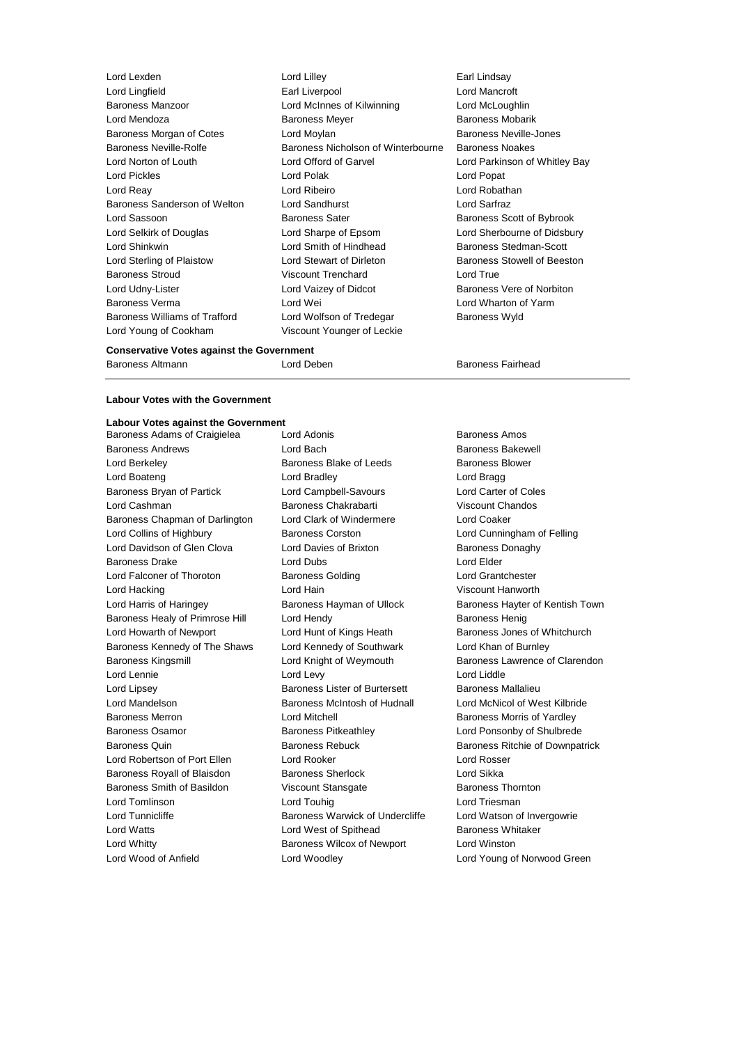| Lord Lexden                          |
|--------------------------------------|
| Lord Lingfield                       |
| <b>Baroness Manzoor</b>              |
| Lord Mendoza                         |
| Baroness Morgan of Cotes             |
| <b>Baroness Neville-Rolfe</b>        |
| Lord Norton of Louth                 |
| <b>Lord Pickles</b>                  |
| Lord Reay                            |
| Baroness Sanderson of Welton         |
| Lord Sassoon                         |
| Lord Selkirk of Douglas              |
| Lord Shinkwin                        |
| Lord Sterling of Plaistow            |
| <b>Baroness Stroud</b>               |
| Lord Udny-Lister                     |
| <b>Baroness Verma</b>                |
| <b>Baroness Williams of Trafford</b> |
| Lord Young of Cookham                |

Lord Lilley **Earl Lindsay** Earl Liverpool **Earl Lingfield Earl Lord Mancroft** Lord McInnes of Kilwinning Lord McLoughlin Baroness Meyer **Baroness Mobarik** Lord Moylan **Cones Lord Moylan** Baroness Neville-Jones Baroness Nicholson of Winterbourne Baroness Noakes Lord Offord of Garvel **Lord Parkinson of Whitley Bay** Lord Polak **Lord Popat** Lord Ribeiro **Lord Robathan** Lord Sandhurst **Lord Sandhurst** Baroness Sater Baroness Scott of Bybrook Lord Sharpe of Epsom Lord Sherbourne of Didsbury Lord Smith of Hindhead Baroness Stedman-Scott Lord Stewart of Dirleton Baroness Stowell of Beeston Viscount Trenchard Lord True Lord Vaizey of Didcot Baroness Vere of Norbiton Lord Wei **Lord Wharton of Yarm** Lord Wolfson of Tredegar Baroness Wyld Viscount Younger of Leckie

### **Conservative Votes against the Government**

Baroness Altmann Lord Deben Baroness Fairhead

## **Labour Votes with the Government**

**Labour Votes against the Government** Baroness Adams of Craigielea Lord Adonis **Baroness Amos** Baroness Amos Baroness Andrews **Communist Contract Baroness Andrews** Lord Bach **Baroness Bakewell** Lord Berkeley **Baroness Blake of Leeds** Baroness Blower Lord Boateng Lord Bradley Lord Bragg Baroness Bryan of Partick Lord Campbell-Savours Lord Carter of Coles Lord Cashman Baroness Chakrabarti Viscount Chandos Baroness Chapman of Darlington Lord Clark of Windermere Lord Coaker Lord Collins of Highbury Baroness Corston Lord Cunningham of Felling Lord Davidson of Glen Clova Lord Davies of Brixton Baroness Donaghy **Baroness Drake Lord Dubs** Lord Dubs **Lord Elder** Lord Falconer of Thoroton **Baroness Golding Baroness Colding** Lord Grantchester Lord Hacking Lord Hain Viscount Hanworth Lord Harris of Haringey **Baroness Hayman of Ullock** Baroness Hayter of Kentish Town Baroness Healy of Primrose Hill Lord Hendy Contract Report Baroness Henig Lord Howarth of Newport Lord Hunt of Kings Heath Baroness Jones of Whitchurch Baroness Kennedy of The Shaws Lord Kennedy of Southwark Lord Khan of Burnley Baroness Kingsmill **Example 2** Lord Knight of Weymouth **Baroness Lawrence of Clarendon** Lord Lennie **Lord Levy** Lord Lord Lord Lord Liddle Lord Lipsey **Baroness Lister of Burtersett** Baroness Mallalieu Lord Mandelson Baroness McIntosh of Hudnall Lord McNicol of West Kilbride Baroness Merron **Baroness Morris of Yardley** Lord Mitchell **Baroness Morris of Yardley** Baroness Osamor Baroness Pitkeathley Lord Ponsonby of Shulbrede Baroness Quin **Baroness Rebuck** Baroness Rebuck Baroness Ritchie of Downpatrick Lord Robertson of Port Ellen Lord Rooker Lord Rosser Baroness Royall of Blaisdon Baroness Sherlock Lord Sikka Baroness Smith of Basildon **Viscount Stansgate** Baroness Thornton Lord Tomlinson Lord Touhig Lord Triesman Lord Tunnicliffe **Baroness Warwick of Undercliffe** Lord Watson of Invergowrie Lord Watts **Lord West of Spithead** Baroness Whitaker Lord Whitty Baroness Wilcox of Newport Lord Winston Lord Wood of Anfield Lord Woodley Lord Young of Norwood Green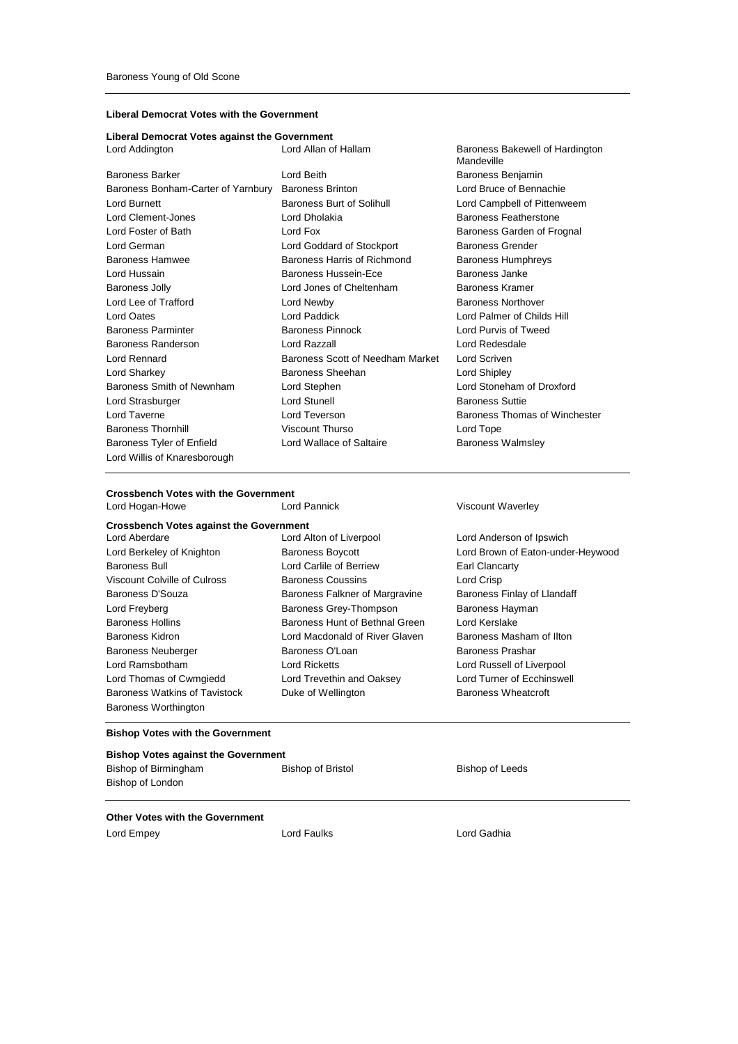## **Liberal Democrat Votes with the Government**

## **Liberal Democrat Votes against the Government**

| Lord Addington                     | Lord Allan of Hallam             | Baroness Ba<br>Mandeville |
|------------------------------------|----------------------------------|---------------------------|
| Baroness Barker                    | Lord Beith                       | <b>Baroness Be</b>        |
| Baroness Bonham-Carter of Yarnbury | <b>Baroness Brinton</b>          | Lord Bruce of             |
| Lord Burnett                       | <b>Baroness Burt of Solihull</b> | Lord Campbe               |
| Lord Clement-Jones                 | Lord Dholakia                    | Baroness Fe               |
| Lord Foster of Bath                | Lord Fox                         | <b>Baroness Ga</b>        |
| Lord German                        | Lord Goddard of Stockport        | Baroness Gre              |
| Baroness Hamwee                    | Baroness Harris of Richmond      | <b>Baroness Hu</b>        |
| Lord Hussain                       | Baroness Hussein-Ece             | Baroness Jar              |
| Baroness Jolly                     | Lord Jones of Cheltenham         | <b>Baroness Kra</b>       |
| Lord Lee of Trafford               | Lord Newby                       | Baroness No               |
| Lord Oates                         | Lord Paddick                     | Lord Palmer               |
| Baroness Parminter                 | <b>Baroness Pinnock</b>          | Lord Purvis o             |
| Baroness Randerson                 | Lord Razzall                     | Lord Redesd               |
| Lord Rennard                       | Baroness Scott of Needham Market | Lord Scriven              |
| Lord Sharkey                       | <b>Baroness Sheehan</b>          | Lord Shipley              |
| Baroness Smith of Newnham          | Lord Stephen                     | Lord Stoneha              |
| Lord Strasburger                   | <b>Lord Stunell</b>              | <b>Baroness Su</b>        |
| Lord Taverne                       | Lord Teverson                    | Baroness The              |
| <b>Baroness Thornhill</b>          | <b>Viscount Thurso</b>           | Lord Tope                 |
| Baroness Tyler of Enfield          | Lord Wallace of Saltaire         | <b>Baroness Wa</b>        |
| Lord Willis of Knaresborough       |                                  |                           |
|                                    |                                  |                           |

## roness Bakewell of Hardington Mandeville roness Benjamin rd Bruce of Bennachie rd Campbell of Pittenweem roness Featherstone roness Garden of Frognal roness Grender roness Humphreys roness Janke roness Kramer roness Northover rd Palmer of Childs Hill rd Purvis of Tweed rd Redesdale rd Stoneham of Droxford roness Suttie roness Thomas of Winchester roness Walmsley

## **Crossbench Votes with the Government**

| <b>Crossbench Votes against the Government</b> |                          |
|------------------------------------------------|--------------------------|
| Lord Aberdare                                  | Lord Alton of Liverpool  |
| Lord Berkeley of Knighton                      | <b>Baroness Boycott</b>  |
| <b>Baroness Bull</b>                           | Lord Carlile of Berriew  |
| Viscount Colville of Culross                   | <b>Baroness Coussins</b> |
| Baroness D'Souza                               | Baroness Falkner of Ma   |
| Lord Freyberg                                  | Baroness Grey-Thomp      |
| <b>Baroness Hollins</b>                        | Baroness Hunt of Beth    |
| <b>Baroness Kidron</b>                         | Lord Macdonald of Rive   |
| <b>Baroness Neuberger</b>                      | Baroness O'Loan          |
| Lord Ramsbotham                                | Lord Ricketts            |
| Lord Thomas of Cwmgiedd                        | Lord Trevethin and Oal   |
| Baroness Watkins of Tavistock                  | Duke of Wellington       |
| <b>Baroness Worthington</b>                    |                          |
|                                                |                          |

Lord Carlile of Berriew Earl Clancarty Baroness Coussins **Lord Crisp** Baroness Falkner of Margravine Baroness Finlay of Llandaff Baroness Grey-Thompson Baroness Hayman Baroness Hunt of Bethnal Green Lord Kerslake Lord Macdonald of River Glaven Baroness Masham of Ilton Baroness O'Loan Baroness Prashar Lord Ricketts **Lord Russell of Liverpool** Lord Trevethin and Oaksey Lord Turner of Ecchinswell Duke of Wellington Baroness Wheatcroft

Lord Hogan-Howe **Lord Pannick** Corresponding Mannick Viscount Waverley

Lord Anderson of Ipswich Baroness Boycott **Lord Brown of Eaton-under-Heywood** 

#### **Bishop Votes with the Government**

| <b>Bishop Votes against the Government</b> |                   |                 |  |  |  |
|--------------------------------------------|-------------------|-----------------|--|--|--|
| Bishop of Birmingham                       | Bishop of Bristol | Bishop of Leeds |  |  |  |
| Bishop of London                           |                   |                 |  |  |  |

## **Other Votes with the Government**

Lord Empey **Lord Faulks** Lord Faulks **Lord Cadhia**